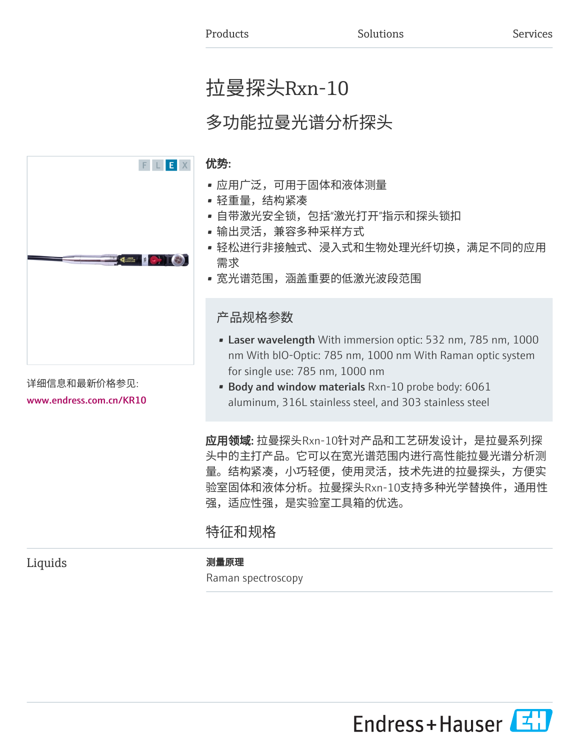# 拉曼探头Rxn-10

# 多功能拉曼光谱分析探头



Raman spectroscopy

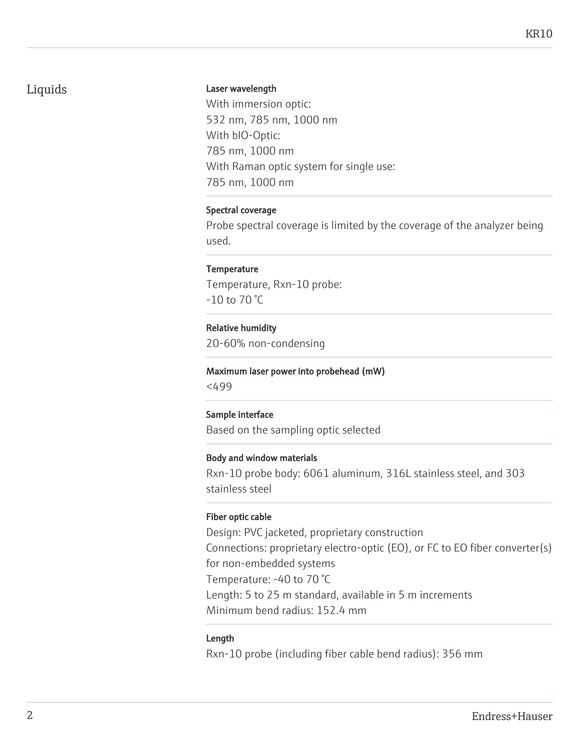# Liquids **Laser wavelength**

With immersion optic: 532 nm, 785 nm, 1000 nm With bIO-Optic: 785 nm, 1000 nm With Raman optic system for single use: 785 nm, 1000 nm

#### Spectral coverage

Probe spectral coverage is limited by the coverage of the analyzer being used.

#### **Temperature**

Temperature, Rxn-10 probe:  $-10$  to 70  $^{\circ}$ C

#### Relative humidity

20-60% non-condensing

### Maximum laser power into probehead (mW)

<499

### Sample interface

Based on the sampling optic selected

#### Body and window materials

Rxn-10 probe body: 6061 aluminum, 316L stainless steel, and 303 stainless steel

### Fiber optic cable

Design: PVC jacketed, proprietary construction Connections: proprietary electro-optic (EO), or FC to EO fiber converter(s) for non-embedded systems Temperature: -40 to 70 °C Length: 5 to 25 m standard, available in 5 m increments Minimum bend radius: 152.4 mm

### Length

Rxn-10 probe (including fiber cable bend radius): 356 mm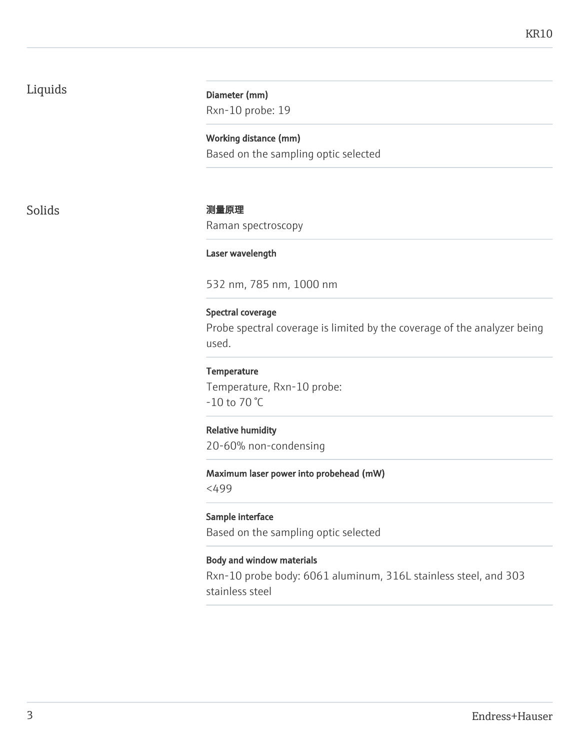# Liquids

Diameter (mm) Rxn-10 probe: 19

Working distance (mm) Based on the sampling optic selected

#### Solids 测量原理

Raman spectroscopy

#### Laser wavelength

532 nm, 785 nm, 1000 nm

#### Spectral coverage

Probe spectral coverage is limited by the coverage of the analyzer being used.

#### **Temperature**

Temperature, Rxn-10 probe: -10 to 70 °C

#### Relative humidity

20-60% non-condensing

#### Maximum laser power into probehead (mW)

<499

### Sample interface

Based on the sampling optic selected

#### Body and window materials

Rxn-10 probe body: 6061 aluminum, 316L stainless steel, and 303 stainless steel